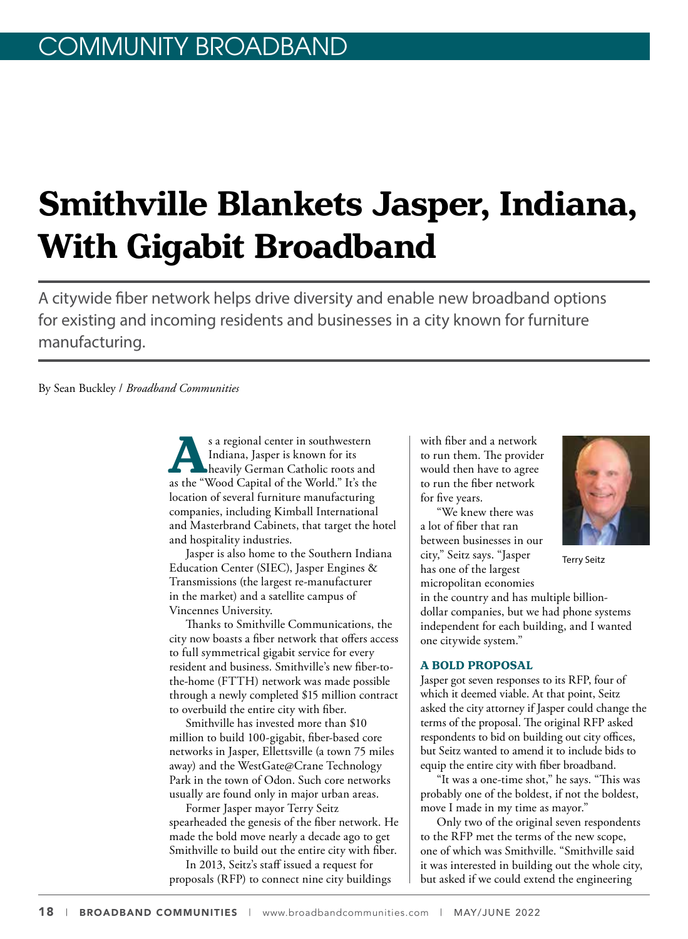# **Smithville Blankets Jasper, Indiana, With Gigabit Broadband**

A citywide fiber network helps drive diversity and enable new broadband options for existing and incoming residents and businesses in a city known for furniture manufacturing.

By Sean Buckley / *Broadband Communities*

s a regional center in southwestern<br>
Indiana, Jasper is known for its<br>
heavily German Catholic roots and<br>
as the "Wood Capital of the World." It's the Indiana, Jasper is known for its heavily German Catholic roots and as the "Wood Capital of the World." It's the location of several furniture manufacturing companies, including Kimball International and Masterbrand Cabinets, that target the hotel and hospitality industries.

Jasper is also home to the Southern Indiana Education Center (SIEC), Jasper Engines & Transmissions (the largest re-manufacturer in the market) and a satellite campus of Vincennes University.

Thanks to Smithville Communications, the city now boasts a fiber network that offers access to full symmetrical gigabit service for every resident and business. Smithville's new fiber-tothe-home (FTTH) network was made possible through a newly completed \$15 million contract to overbuild the entire city with fiber.

Smithville has invested more than \$10 million to build 100-gigabit, fiber-based core networks in Jasper, Ellettsville (a town 75 miles away) and the WestGate@Crane Technology Park in the town of Odon. Such core networks usually are found only in major urban areas.

Former Jasper mayor Terry Seitz spearheaded the genesis of the fiber network. He made the bold move nearly a decade ago to get Smithville to build out the entire city with fiber.

In 2013, Seitz's staff issued a request for proposals (RFP) to connect nine city buildings

with fiber and a network to run them. The provider would then have to agree to run the fiber network for five years.

"We knew there was a lot of fiber that ran between businesses in our city," Seitz says. "Jasper has one of the largest micropolitan economies

in the country and has multiple billiondollar companies, but we had phone systems independent for each building, and I wanted one citywide system."

### **A BOLD PROPOSAL**

Jasper got seven responses to its RFP, four of which it deemed viable. At that point, Seitz asked the city attorney if Jasper could change the terms of the proposal. The original RFP asked respondents to bid on building out city offices, but Seitz wanted to amend it to include bids to equip the entire city with fiber broadband.

"It was a one-time shot," he says. "This was probably one of the boldest, if not the boldest, move I made in my time as mayor."

Only two of the original seven respondents to the RFP met the terms of the new scope, one of which was Smithville. "Smithville said it was interested in building out the whole city, but asked if we could extend the engineering



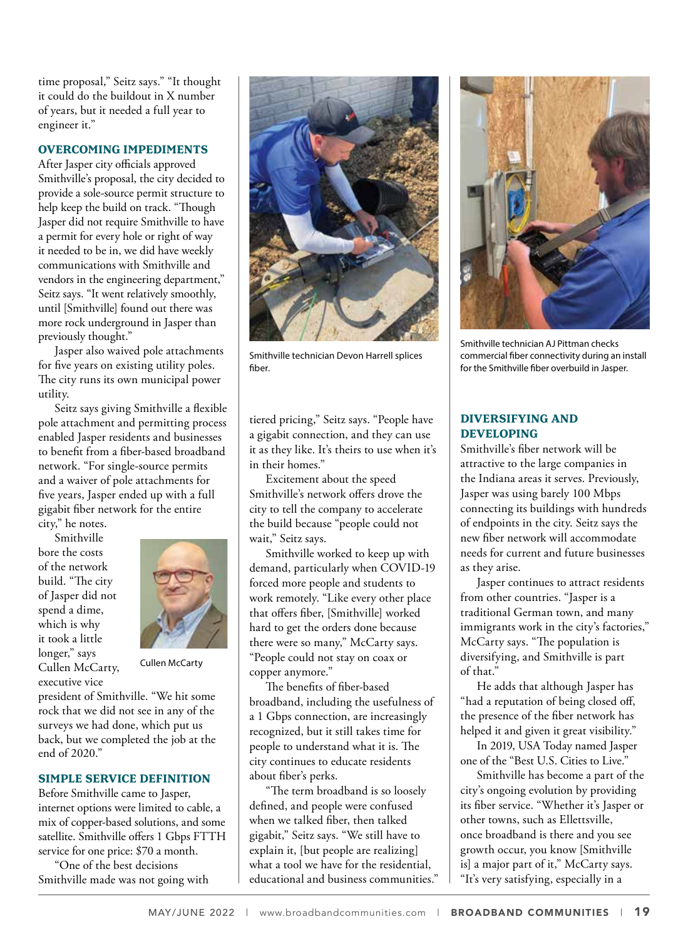time proposal," Seitz says." "It thought it could do the buildout in X number of years, but it needed a full year to engineer it."

### **OVERCOMING IMPEDIMENTS**

After Jasper city officials approved Smithville's proposal, the city decided to provide a sole-source permit structure to help keep the build on track. "Though Jasper did not require Smithville to have a permit for every hole or right of way it needed to be in, we did have weekly communications with Smithville and vendors in the engineering department," Seitz says. "It went relatively smoothly, until [Smithville] found out there was more rock underground in Jasper than previously thought."

Jasper also waived pole attachments for five years on existing utility poles. The city runs its own municipal power utility.

Seitz says giving Smithville a flexible pole attachment and permitting process enabled Jasper residents and businesses to benefit from a fiber-based broadband network. "For single-source permits and a waiver of pole attachments for five years, Jasper ended up with a full gigabit fiber network for the entire

city," he notes.

Smithville bore the costs of the network build. "The city of Jasper did not spend a dime, which is why it took a little longer," says Cullen McCarty, executive vice



Cullen McCarty

president of Smithville. "We hit some rock that we did not see in any of the surveys we had done, which put us back, but we completed the job at the end of 2020."

## **SIMPLE SERVICE DEFINITION**

Before Smithville came to Jasper, internet options were limited to cable, a mix of copper-based solutions, and some satellite. Smithville offers 1 Gbps FTTH service for one price: \$70 a month.

"One of the best decisions Smithville made was not going with



Smithville technician Devon Harrell splices fiber.

tiered pricing," Seitz says. "People have a gigabit connection, and they can use it as they like. It's theirs to use when it's in their homes."

Excitement about the speed Smithville's network offers drove the city to tell the company to accelerate the build because "people could not wait," Seitz says.

Smithville worked to keep up with demand, particularly when COVID-19 forced more people and students to work remotely. "Like every other place that offers fiber, [Smithville] worked hard to get the orders done because there were so many," McCarty says. "People could not stay on coax or copper anymore."

The benefits of fiber-based broadband, including the usefulness of a 1 Gbps connection, are increasingly recognized, but it still takes time for people to understand what it is. The city continues to educate residents about fiber's perks.

"The term broadband is so loosely defined, and people were confused when we talked fiber, then talked gigabit," Seitz says. "We still have to explain it, [but people are realizing] what a tool we have for the residential, educational and business communities."



Smithville technician AJ Pittman checks commercial fiber connectivity during an install for the Smithville fiber overbuild in Jasper.

### **DIVERSIFYING AND DEVELOPING**

Smithville's fiber network will be attractive to the large companies in the Indiana areas it serves. Previously, Jasper was using barely 100 Mbps connecting its buildings with hundreds of endpoints in the city. Seitz says the new fiber network will accommodate needs for current and future businesses as they arise.

Jasper continues to attract residents from other countries. "Jasper is a traditional German town, and many immigrants work in the city's factories," McCarty says. "The population is diversifying, and Smithville is part of that."

He adds that although Jasper has "had a reputation of being closed off, the presence of the fiber network has helped it and given it great visibility."

In 2019, USA Today named Jasper one of the "Best U.S. Cities to Live."

Smithville has become a part of the city's ongoing evolution by providing its fiber service. "Whether it's Jasper or other towns, such as Ellettsville, once broadband is there and you see growth occur, you know [Smithville is] a major part of it," McCarty says. "It's very satisfying, especially in a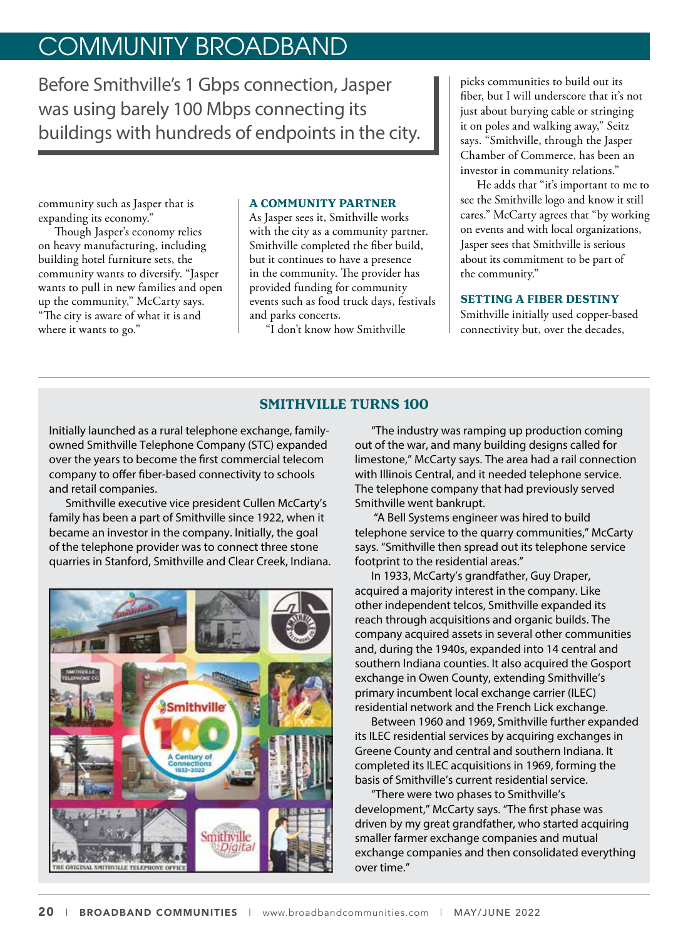# COMMUNITY BROADBAND

Before Smithville's 1 Gbps connection, Jasper was using barely 100 Mbps connecting its buildings with hundreds of endpoints in the city.

community such as Jasper that is expanding its economy."

Though Jasper's economy relies on heavy manufacturing, including building hotel furniture sets, the community wants to diversify. "Jasper wants to pull in new families and open up the community," McCarty says. "The city is aware of what it is and where it wants to go."

### **A COMMUNITY PARTNER**

As Jasper sees it, Smithville works with the city as a community partner. Smithville completed the fiber build, but it continues to have a presence in the community. The provider has provided funding for community events such as food truck days, festivals and parks concerts.

"I don't know how Smithville

picks communities to build out its fiber, but I will underscore that it's not just about burying cable or stringing it on poles and walking away," Seitz says. "Smithville, through the Jasper Chamber of Commerce, has been an investor in community relations."

He adds that "it's important to me to see the Smithville logo and know it still cares." McCarty agrees that "by working on events and with local organizations, Jasper sees that Smithville is serious about its commitment to be part of the community."

### **SETTING A FIBER DESTINY**

Smithville initially used copper-based connectivity but, over the decades,

# **SMITHVILLE TURNS 100**

Initially launched as a rural telephone exchange, familyowned Smithville Telephone Company (STC) expanded over the years to become the first commercial telecom company to offer fiber-based connectivity to schools and retail companies.

Smithville executive vice president Cullen McCarty's family has been a part of Smithville since 1922, when it became an investor in the company. Initially, the goal of the telephone provider was to connect three stone quarries in Stanford, Smithville and Clear Creek, Indiana.



"The industry was ramping up production coming out of the war, and many building designs called for limestone," McCarty says. The area had a rail connection with Illinois Central, and it needed telephone service. The telephone company that had previously served Smithville went bankrupt.

 "A Bell Systems engineer was hired to build telephone service to the quarry communities," McCarty says. "Smithville then spread out its telephone service footprint to the residential areas."

In 1933, McCarty's grandfather, Guy Draper, acquired a majority interest in the company. Like other independent telcos, Smithville expanded its reach through acquisitions and organic builds. The company acquired assets in several other communities and, during the 1940s, expanded into 14 central and southern Indiana counties. It also acquired the Gosport exchange in Owen County, extending Smithville's primary incumbent local exchange carrier (ILEC) residential network and the French Lick exchange.

Between 1960 and 1969, Smithville further expanded its ILEC residential services by acquiring exchanges in Greene County and central and southern Indiana. It completed its ILEC acquisitions in 1969, forming the basis of Smithville's current residential service.

"There were two phases to Smithville's development," McCarty says. "The first phase was driven by my great grandfather, who started acquiring smaller farmer exchange companies and mutual exchange companies and then consolidated everything over time."